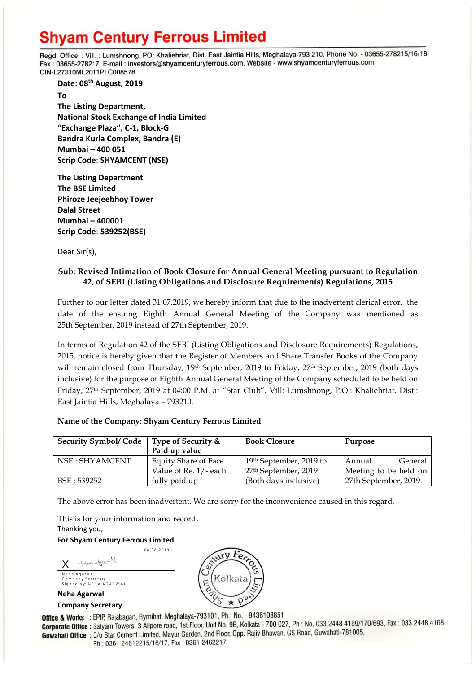# **Shyam Century Ferrous Limited**

Regd. Office.: Vill.: Lumshnong, PO: Khaliehriat, Dist. East Jaintia Hills, Meghalaya-793 210, Phone No. - 03655-278215/16/18 Fax: 03655-278217, E-mail: investors@shyamcenturyferrous.com, Website - www.shyamcenturyferrous.com CIN-L27310ML2011PLC008578

**Date: 08 th August, 2019**

**To The Listing Department, National Stock Exchange of India Limited "Exchange Plaza", C-1, Block-G Bandra Kurla Complex, Bandra (E) Mumbai – 400 051 Scrip Code**: **SHYAMCENT (NSE)**

**The Listing Department The BSE Limited Phiroze Jeejeebhoy Tower Dalal Street Mumbai – 400001 Scrip Code**: **539252(BSE)**

Dear Sir(s),

### **Sub**: **Revised Intimation of Book Closure for Annual General Meeting pursuant to Regulation 42, of SEBI (Listing Obligations and Disclosure Requirements) Regulations, 2015**

Further to our letter dated 31.07.2019, we hereby inform that due to the inadvertent clerical error, the date of the ensuing Eighth Annual General Meeting of the Company was mentioned as 25th September, 2019 instead of 27th September, 2019.

In terms of Regulation 42 of the SEBI (Listing Obligations and Disclosure Requirements) Regulations, 2015, notice is hereby given that the Register of Members and Share Transfer Books of the Company will remain closed from Thursday, 19<sup>th</sup> September, 2019 to Friday, 27<sup>th</sup> September, 2019 (both days inclusive) for the purpose of Eighth Annual General Meeting of the Company scheduled to be held on Friday, 27th September, 2019 at 04:00 P.M. at "Star Club", Vill: Lumshnong, P.O.: Khaliehriat, Dist.: East Jaintia Hills, Meghalaya – 793210.

### **Name of the Company: Shyam Century Ferrous Limited**

0 8 -0 8 -2 0 1 9

| <b>Security Symbol/ Code</b> | Type of Security &<br>Paid up value | <b>Book Closure</b>              | Purpose               |
|------------------------------|-------------------------------------|----------------------------------|-----------------------|
| NSE : SHYAMCENT              | <b>Equity Share of Face</b>         | 19th September, 2019 to          | General<br>Annual     |
|                              | Value of Re. 1/-each                | 27 <sup>th</sup> September, 2019 | Meeting to be held on |
| BSE: 539252                  | fully paid up                       | (Both days inclusive)            | 27th September, 2019. |

The above error has been inadvertent. We are sorry for the inconvenience caused in this regard.

This is for your information and record. Thanking you,

**For Shyam Century Ferrous Limited**

Note for X Neha Agarwal C o m p a n y S e c r e t a r y Signed by: NEHA AGARWAL

**Neha Agarwal**

**Company Secretary**



Office & Works : EPIP, Rajabagan, Byrnihat, Meghalaya-793101, Ph : No. - 9436108851 **Corporate Office :** Satyam Towers, 3 Alipore road, 1st Floor, Unit No. 9B, Kolkata - 700 027, Ph : No. 033 2448 4169/170/693, Fax : 033 2448 4168 Guwahati Office: C/o Star Cement Limited, Mayur Garden, 2nd Floor, Opp. Rajiv Bhawan, GS Road, Guwahati-781005, Ph: 0361 24612215/16/17, Fax: 0361 2462217